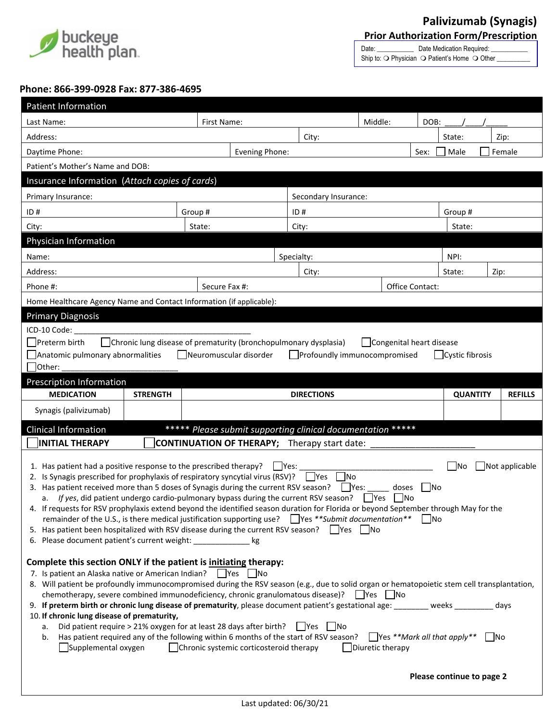

Date: \_\_\_\_\_\_\_\_\_\_\_\_\_\_ Date Medication Required: Ship to:  $\bigcirc$  Physician  $\bigcirc$  Patient's Home  $\bigcirc$  Other \_

## **Phone: 866-399-0928 Fax: 877-386-4695**

| Patient Information                                                                                                                                                                                                                                                                                                                                                                                                                                                                                                                                                                                                                                                                                                                                                                                                                                                                                                                                                                                                                                                                                                                                                                                                                                                                                                                                                                                                                                                  |                 |            |                      |       |                   |                 |  |        |                 |                |  |
|----------------------------------------------------------------------------------------------------------------------------------------------------------------------------------------------------------------------------------------------------------------------------------------------------------------------------------------------------------------------------------------------------------------------------------------------------------------------------------------------------------------------------------------------------------------------------------------------------------------------------------------------------------------------------------------------------------------------------------------------------------------------------------------------------------------------------------------------------------------------------------------------------------------------------------------------------------------------------------------------------------------------------------------------------------------------------------------------------------------------------------------------------------------------------------------------------------------------------------------------------------------------------------------------------------------------------------------------------------------------------------------------------------------------------------------------------------------------|-----------------|------------|----------------------|-------|-------------------|-----------------|--|--------|-----------------|----------------|--|
| First Name:<br>Last Name:                                                                                                                                                                                                                                                                                                                                                                                                                                                                                                                                                                                                                                                                                                                                                                                                                                                                                                                                                                                                                                                                                                                                                                                                                                                                                                                                                                                                                                            |                 |            |                      |       |                   | Middle:         |  | DOB:   |                 |                |  |
| Address:                                                                                                                                                                                                                                                                                                                                                                                                                                                                                                                                                                                                                                                                                                                                                                                                                                                                                                                                                                                                                                                                                                                                                                                                                                                                                                                                                                                                                                                             |                 |            |                      |       | City:             |                 |  |        | State:          | Zip:           |  |
| Daytime Phone:                                                                                                                                                                                                                                                                                                                                                                                                                                                                                                                                                                                                                                                                                                                                                                                                                                                                                                                                                                                                                                                                                                                                                                                                                                                                                                                                                                                                                                                       |                 |            | Evening Phone:       |       |                   | Sex:            |  | Male   | Female          |                |  |
| Patient's Mother's Name and DOB:                                                                                                                                                                                                                                                                                                                                                                                                                                                                                                                                                                                                                                                                                                                                                                                                                                                                                                                                                                                                                                                                                                                                                                                                                                                                                                                                                                                                                                     |                 |            |                      |       |                   |                 |  |        |                 |                |  |
| Insurance Information (Attach copies of cards)                                                                                                                                                                                                                                                                                                                                                                                                                                                                                                                                                                                                                                                                                                                                                                                                                                                                                                                                                                                                                                                                                                                                                                                                                                                                                                                                                                                                                       |                 |            |                      |       |                   |                 |  |        |                 |                |  |
| Primary Insurance:                                                                                                                                                                                                                                                                                                                                                                                                                                                                                                                                                                                                                                                                                                                                                                                                                                                                                                                                                                                                                                                                                                                                                                                                                                                                                                                                                                                                                                                   |                 |            | Secondary Insurance: |       |                   |                 |  |        |                 |                |  |
| ID#<br>Group #                                                                                                                                                                                                                                                                                                                                                                                                                                                                                                                                                                                                                                                                                                                                                                                                                                                                                                                                                                                                                                                                                                                                                                                                                                                                                                                                                                                                                                                       |                 |            |                      |       | ID#               |                 |  |        | Group#          |                |  |
| City:<br>State:                                                                                                                                                                                                                                                                                                                                                                                                                                                                                                                                                                                                                                                                                                                                                                                                                                                                                                                                                                                                                                                                                                                                                                                                                                                                                                                                                                                                                                                      |                 |            |                      |       | City:             |                 |  | State: |                 |                |  |
| Physician Information                                                                                                                                                                                                                                                                                                                                                                                                                                                                                                                                                                                                                                                                                                                                                                                                                                                                                                                                                                                                                                                                                                                                                                                                                                                                                                                                                                                                                                                |                 |            |                      |       |                   |                 |  |        |                 |                |  |
| Name:                                                                                                                                                                                                                                                                                                                                                                                                                                                                                                                                                                                                                                                                                                                                                                                                                                                                                                                                                                                                                                                                                                                                                                                                                                                                                                                                                                                                                                                                |                 | Specialty: |                      |       |                   |                 |  | NPI:   |                 |                |  |
| Address:                                                                                                                                                                                                                                                                                                                                                                                                                                                                                                                                                                                                                                                                                                                                                                                                                                                                                                                                                                                                                                                                                                                                                                                                                                                                                                                                                                                                                                                             |                 |            |                      | City: |                   |                 |  | State: | Zip:            |                |  |
| Phone #:                                                                                                                                                                                                                                                                                                                                                                                                                                                                                                                                                                                                                                                                                                                                                                                                                                                                                                                                                                                                                                                                                                                                                                                                                                                                                                                                                                                                                                                             |                 |            | Secure Fax #:        |       |                   | Office Contact: |  |        |                 |                |  |
| Home Healthcare Agency Name and Contact Information (if applicable):                                                                                                                                                                                                                                                                                                                                                                                                                                                                                                                                                                                                                                                                                                                                                                                                                                                                                                                                                                                                                                                                                                                                                                                                                                                                                                                                                                                                 |                 |            |                      |       |                   |                 |  |        |                 |                |  |
| <b>Primary Diagnosis</b>                                                                                                                                                                                                                                                                                                                                                                                                                                                                                                                                                                                                                                                                                                                                                                                                                                                                                                                                                                                                                                                                                                                                                                                                                                                                                                                                                                                                                                             |                 |            |                      |       |                   |                 |  |        |                 |                |  |
| ICD-10 Code:                                                                                                                                                                                                                                                                                                                                                                                                                                                                                                                                                                                                                                                                                                                                                                                                                                                                                                                                                                                                                                                                                                                                                                                                                                                                                                                                                                                                                                                         |                 |            |                      |       |                   |                 |  |        |                 |                |  |
| Preterm birth<br>Chronic lung disease of prematurity (bronchopulmonary dysplasia)<br>  Congenital heart disease                                                                                                                                                                                                                                                                                                                                                                                                                                                                                                                                                                                                                                                                                                                                                                                                                                                                                                                                                                                                                                                                                                                                                                                                                                                                                                                                                      |                 |            |                      |       |                   |                 |  |        |                 |                |  |
| Anatomic pulmonary abnormalities<br>  Neuromuscular disorder<br>Profoundly immunocompromised<br>  Cystic fibrosis                                                                                                                                                                                                                                                                                                                                                                                                                                                                                                                                                                                                                                                                                                                                                                                                                                                                                                                                                                                                                                                                                                                                                                                                                                                                                                                                                    |                 |            |                      |       |                   |                 |  |        |                 |                |  |
| Other:                                                                                                                                                                                                                                                                                                                                                                                                                                                                                                                                                                                                                                                                                                                                                                                                                                                                                                                                                                                                                                                                                                                                                                                                                                                                                                                                                                                                                                                               |                 |            |                      |       |                   |                 |  |        |                 |                |  |
| Prescription Information                                                                                                                                                                                                                                                                                                                                                                                                                                                                                                                                                                                                                                                                                                                                                                                                                                                                                                                                                                                                                                                                                                                                                                                                                                                                                                                                                                                                                                             |                 |            |                      |       |                   |                 |  |        |                 |                |  |
| <b>MEDICATION</b>                                                                                                                                                                                                                                                                                                                                                                                                                                                                                                                                                                                                                                                                                                                                                                                                                                                                                                                                                                                                                                                                                                                                                                                                                                                                                                                                                                                                                                                    | <b>STRENGTH</b> |            |                      |       | <b>DIRECTIONS</b> |                 |  |        | <b>QUANTITY</b> | <b>REFILLS</b> |  |
| Synagis (palivizumab)                                                                                                                                                                                                                                                                                                                                                                                                                                                                                                                                                                                                                                                                                                                                                                                                                                                                                                                                                                                                                                                                                                                                                                                                                                                                                                                                                                                                                                                |                 |            |                      |       |                   |                 |  |        |                 |                |  |
| ***** Please submit supporting clinical documentation *****<br><b>Clinical Information</b>                                                                                                                                                                                                                                                                                                                                                                                                                                                                                                                                                                                                                                                                                                                                                                                                                                                                                                                                                                                                                                                                                                                                                                                                                                                                                                                                                                           |                 |            |                      |       |                   |                 |  |        |                 |                |  |
| <b>INITIAL THERAPY</b><br><b>CONTINUATION OF THERAPY;</b> Therapy start date:                                                                                                                                                                                                                                                                                                                                                                                                                                                                                                                                                                                                                                                                                                                                                                                                                                                                                                                                                                                                                                                                                                                                                                                                                                                                                                                                                                                        |                 |            |                      |       |                   |                 |  |        |                 |                |  |
| 1. Has patient had a positive response to the prescribed therapy?<br>$ $ Yes:<br><b>No</b><br>Not applicable<br>2. Is Synagis prescribed for prophylaxis of respiratory syncytial virus (RSV)? $\Box$ Yes<br> No<br>3. Has patient received more than 5 doses of Synagis during the current RSV season?<br>  Yes:<br>doses<br>l INo<br>a. If yes, did patient undergo cardio-pulmonary bypass during the current RSV season? $\Box$ Yes $\Box$ No<br>4. If requests for RSV prophylaxis extend beyond the identified season duration for Florida or beyond September through May for the<br>remainder of the U.S., is there medical justification supporting use? Yes **Submit documentation**<br>- INo<br>5. Has patient been hospitalized with RSV disease during the current RSV season? $\Box$ Yes $\Box$ No<br>6. Please document patient's current weight: ______________ kg<br>Complete this section ONLY if the patient is initiating therapy:<br>7. Is patient an Alaska native or American Indian?<br>  Yes   INo<br>8. Will patient be profoundly immunocompromised during the RSV season (e.g., due to solid organ or hematopoietic stem cell transplantation,<br>chemotherapy, severe combined immunodeficiency, chronic granulomatous disease)?<br>   Yes    No<br>9. If preterm birth or chronic lung disease of prematurity, please document patient's gestational age: _______ weeks _______<br>days<br>10. If chronic lung disease of prematurity, |                 |            |                      |       |                   |                 |  |        |                 |                |  |
| Did patient require > 21% oxygen for at least 28 days after birth?<br>  Yes   No<br>a.<br>$\Box$ Yes **Mark all that apply**<br>Has patient required any of the following within 6 months of the start of RSV season?<br>  No<br>b.<br>Supplemental oxygen<br>Chronic systemic corticosteroid therapy<br>Diuretic therapy                                                                                                                                                                                                                                                                                                                                                                                                                                                                                                                                                                                                                                                                                                                                                                                                                                                                                                                                                                                                                                                                                                                                            |                 |            |                      |       |                   |                 |  |        |                 |                |  |
| Please continue to page 2                                                                                                                                                                                                                                                                                                                                                                                                                                                                                                                                                                                                                                                                                                                                                                                                                                                                                                                                                                                                                                                                                                                                                                                                                                                                                                                                                                                                                                            |                 |            |                      |       |                   |                 |  |        |                 |                |  |